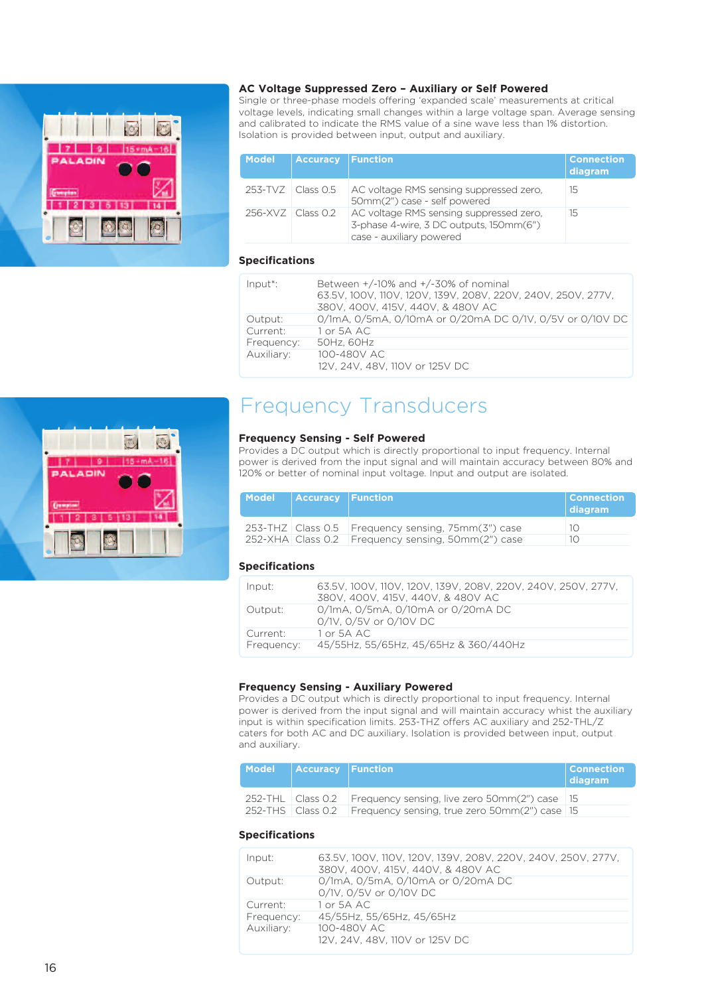

#### **AC Voltage Suppressed Zero – Auxiliary or Self Powered**

Single or three-phase models offering 'expanded scale' measurements at critical voltage levels, indicating small changes within a large voltage span. Average sensing and calibrated to indicate the RMS value of a sine wave less than 1% distortion. Isolation is provided between input, output and auxiliary.

| <b>Model</b>        | <b>Accuracy</b>                    | <b>Function</b>                                                                                                | <b>Connection</b><br>diagram |
|---------------------|------------------------------------|----------------------------------------------------------------------------------------------------------------|------------------------------|
| 253-TVZ             | $\overline{\phantom{a}}$ Class 0.5 | AC voltage RMS sensing suppressed zero,<br>50mm(2") case - self powered                                        | 15                           |
| $256-XVZ$ Class 0.2 |                                    | AC voltage RMS sensing suppressed zero.<br>3-phase 4-wire, 3 DC outputs, 150mm(6")<br>case - auxiliary powered | 15                           |

### **Specifications**

| Input <sup>*</sup> : | Between $+/-10\%$ and $+/-30\%$ of nominal<br>63.5V, 100V, 110V, 120V, 139V, 208V, 220V, 240V, 250V, 277V,<br>380V, 400V, 415V, 440V, & 480V AC |
|----------------------|-------------------------------------------------------------------------------------------------------------------------------------------------|
| Output:              | 0/1mA, 0/5mA, 0/10mA or 0/20mA DC 0/1V, 0/5V or 0/10V DC                                                                                        |
| Current:             | 1 or 5A AC                                                                                                                                      |
| Frequency:           | 50Hz, 60Hz                                                                                                                                      |
| Auxiliary:           | 100-480V AC<br>12V, 24V, 48V, 110V or 125V DC                                                                                                   |

## Frequency Transducers

#### **Frequency Sensing - Self Powered**

Provides a DC output which is directly proportional to input frequency. Internal power is derived from the input signal and will maintain accuracy between 80% and 120% or better of nominal input voltage. Input and output are isolated.

| Model | <b>Accuracy Function</b> |                                                        | <b>Connection</b><br>diagram |
|-------|--------------------------|--------------------------------------------------------|------------------------------|
|       |                          | 253-THZ   Class 0.5   Frequency sensing, 75mm(3") case | 10                           |
|       |                          | 252-XHA Class 0.2 Frequency sensing, 50mm(2") case     | 10                           |

#### **Specifications**

| Input:     | 63.5V, 100V, 110V, 120V, 139V, 208V, 220V, 240V, 250V, 277V,<br>380V, 400V, 415V, 440V, & 480V AC |
|------------|---------------------------------------------------------------------------------------------------|
| Output:    | 0/1mA, 0/5mA, 0/10mA or 0/20mA DC<br>0/1V, 0/5V or 0/10V DC                                       |
| Current:   | $1 \text{ or } 5 \text{A} \text{ AC}$                                                             |
| Frequency: | 45/55Hz, 55/65Hz, 45/65Hz & 360/440Hz                                                             |

#### **Frequency Sensing - Auxiliary Powered**

Provides a DC output which is directly proportional to input frequency. Internal power is derived from the input signal and will maintain accuracy whist the auxiliary input is within specification limits. 253-THZ offers AC auxiliary and 252-THL/Z caters for both AC and DC auxiliary. Isolation is provided between input, output and auxiliary.

| Model Accuracy Function     |                                               | <b>Connection</b><br>diagram |
|-----------------------------|-----------------------------------------------|------------------------------|
| $252$ -THL $\Box$ Class 0.2 | Frequency sensing, live zero 50mm(2") case 15 |                              |
| 252-THS   Class 0.2         | Frequency sensing, true zero 50mm(2") case 15 |                              |

#### **Specifications**

| Input:     | 63.5V, 100V, 110V, 120V, 139V, 208V, 220V, 240V, 250V, 277V,<br>380V, 400V, 415V, 440V, & 480V AC |
|------------|---------------------------------------------------------------------------------------------------|
| Output:    | 0/1mA, 0/5mA, 0/10mA or 0/20mA DC<br>0/1V, 0/5V or 0/10V DC                                       |
| Current:   | 1 or 5A AC                                                                                        |
| Frequency: | 45/55Hz, 55/65Hz, 45/65Hz                                                                         |
| Auxiliary: | 100-480V AC<br>12V, 24V, 48V, 110V or 125V DC                                                     |